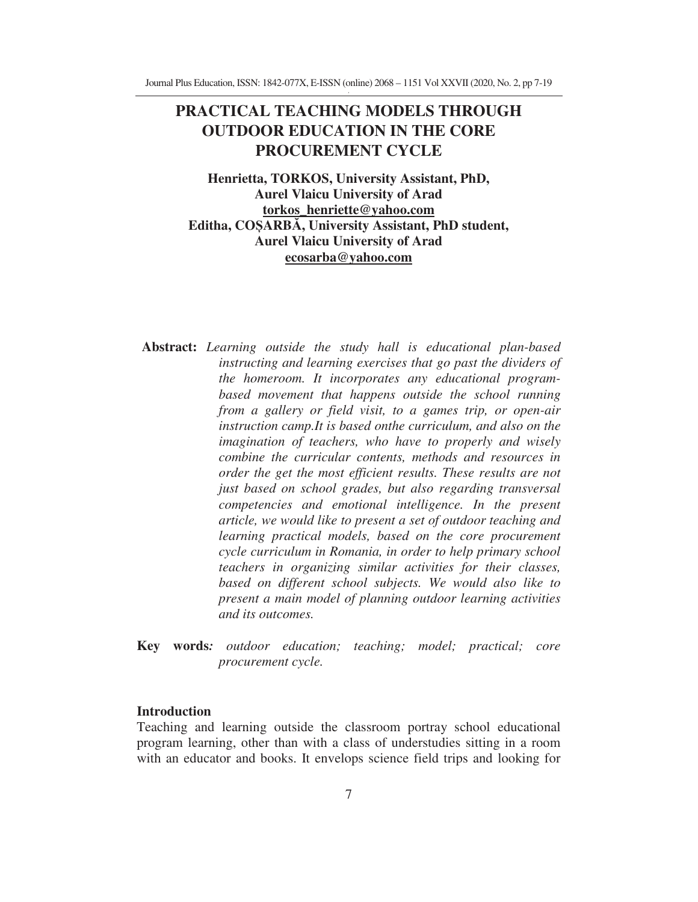# **PRACTICAL TEACHING MODELS THROUGH OUTDOOR EDUCATION IN THE CORE PROCUREMENT CYCLE**

**Henrietta, TORKOS, University Assistant, PhD, Aurel Vlaicu University of Arad torkos\_henriette@yahoo.com Editha, COARB, University Assistant, PhD student, Aurel Vlaicu University of Arad ecosarba@yahoo.com**

- **Abstract:** *Learning outside the study hall is educational plan-based instructing and learning exercises that go past the dividers of the homeroom. It incorporates any educational programbased movement that happens outside the school running from a gallery or field visit, to a games trip, or open-air instruction camp.It is based onthe curriculum, and also on the imagination of teachers, who have to properly and wisely combine the curricular contents, methods and resources in order the get the most efficient results. These results are not just based on school grades, but also regarding transversal competencies and emotional intelligence. In the present article, we would like to present a set of outdoor teaching and learning practical models, based on the core procurement cycle curriculum in Romania, in order to help primary school teachers in organizing similar activities for their classes, based on different school subjects. We would also like to present a main model of planning outdoor learning activities and its outcomes.*
- **Key words***: outdoor education; teaching; model; practical; core procurement cycle.*

# **Introduction**

Teaching and learning outside the classroom portray school educational program learning, other than with a class of understudies sitting in a room with an educator and books. It envelops science field trips and looking for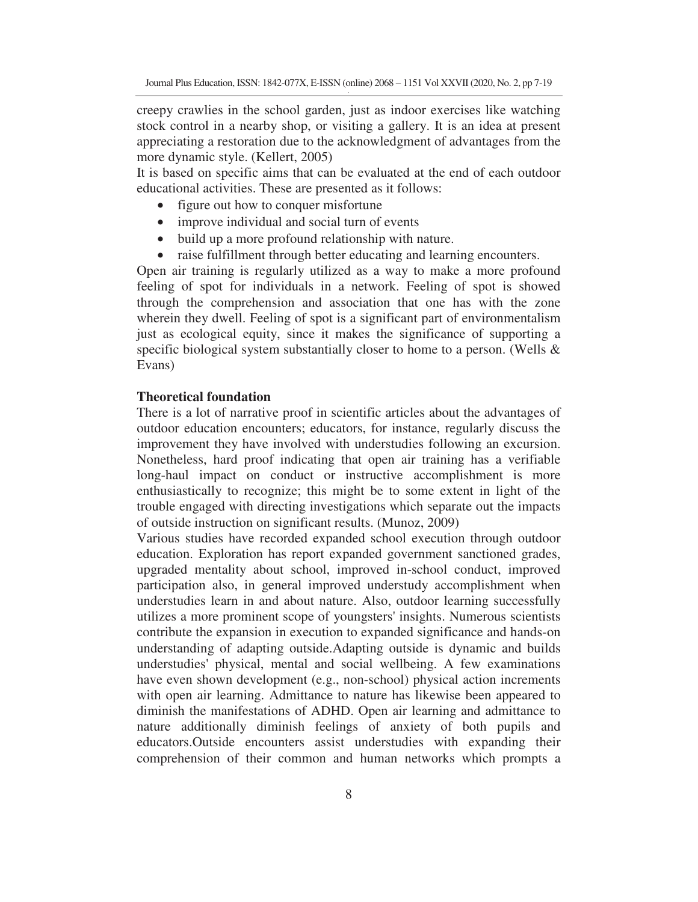creepy crawlies in the school garden, just as indoor exercises like watching stock control in a nearby shop, or visiting a gallery. It is an idea at present appreciating a restoration due to the acknowledgment of advantages from the more dynamic style. (Kellert, 2005)

It is based on specific aims that can be evaluated at the end of each outdoor educational activities. These are presented as it follows:

- figure out how to conquer misfortune
- improve individual and social turn of events
- build up a more profound relationship with nature.
- raise fulfillment through better educating and learning encounters.

Open air training is regularly utilized as a way to make a more profound feeling of spot for individuals in a network. Feeling of spot is showed through the comprehension and association that one has with the zone wherein they dwell. Feeling of spot is a significant part of environmentalism just as ecological equity, since it makes the significance of supporting a specific biological system substantially closer to home to a person. (Wells & Evans)

# **Theoretical foundation**

There is a lot of narrative proof in scientific articles about the advantages of outdoor education encounters; educators, for instance, regularly discuss the improvement they have involved with understudies following an excursion. Nonetheless, hard proof indicating that open air training has a verifiable long-haul impact on conduct or instructive accomplishment is more enthusiastically to recognize; this might be to some extent in light of the trouble engaged with directing investigations which separate out the impacts of outside instruction on significant results. (Munoz, 2009)

Various studies have recorded expanded school execution through outdoor education. Exploration has report expanded government sanctioned grades, upgraded mentality about school, improved in-school conduct, improved participation also, in general improved understudy accomplishment when understudies learn in and about nature. Also, outdoor learning successfully utilizes a more prominent scope of youngsters' insights. Numerous scientists contribute the expansion in execution to expanded significance and hands-on understanding of adapting outside.Adapting outside is dynamic and builds understudies' physical, mental and social wellbeing. A few examinations have even shown development (e.g., non-school) physical action increments with open air learning. Admittance to nature has likewise been appeared to diminish the manifestations of ADHD. Open air learning and admittance to nature additionally diminish feelings of anxiety of both pupils and educators.Outside encounters assist understudies with expanding their comprehension of their common and human networks which prompts a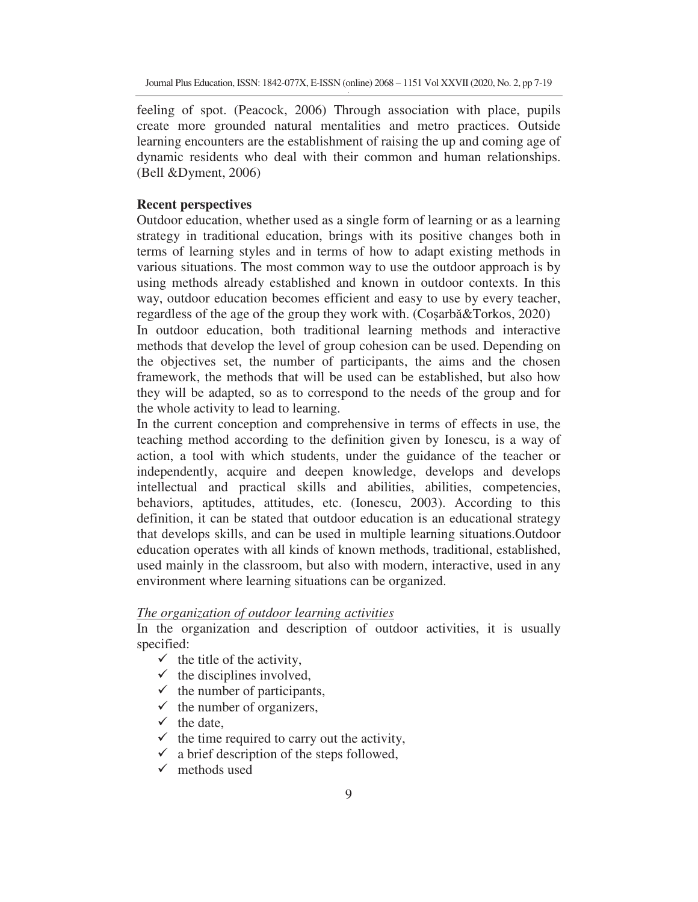feeling of spot. (Peacock, 2006) Through association with place, pupils create more grounded natural mentalities and metro practices. Outside learning encounters are the establishment of raising the up and coming age of dynamic residents who deal with their common and human relationships. (Bell &Dyment, 2006)

### **Recent perspectives**

Outdoor education, whether used as a single form of learning or as a learning strategy in traditional education, brings with its positive changes both in terms of learning styles and in terms of how to adapt existing methods in various situations. The most common way to use the outdoor approach is by using methods already established and known in outdoor contexts. In this way, outdoor education becomes efficient and easy to use by every teacher, regardless of the age of the group they work with. (Cosarb $\&\text{Torkos}, 2020$ )

In outdoor education, both traditional learning methods and interactive methods that develop the level of group cohesion can be used. Depending on the objectives set, the number of participants, the aims and the chosen framework, the methods that will be used can be established, but also how they will be adapted, so as to correspond to the needs of the group and for the whole activity to lead to learning.

In the current conception and comprehensive in terms of effects in use, the teaching method according to the definition given by Ionescu, is a way of action, a tool with which students, under the guidance of the teacher or independently, acquire and deepen knowledge, develops and develops intellectual and practical skills and abilities, abilities, competencies, behaviors, aptitudes, attitudes, etc. (Ionescu, 2003). According to this definition, it can be stated that outdoor education is an educational strategy that develops skills, and can be used in multiple learning situations.Outdoor education operates with all kinds of known methods, traditional, established, used mainly in the classroom, but also with modern, interactive, used in any environment where learning situations can be organized.

## *The organization of outdoor learning activities*

In the organization and description of outdoor activities, it is usually specified:

- $\checkmark$  the title of the activity,
- $\checkmark$  the disciplines involved,
- $\checkmark$  the number of participants,
- $\checkmark$  the number of organizers,
- $\checkmark$  the date,
- $\checkmark$  the time required to carry out the activity,
- $\checkmark$  a brief description of the steps followed,
- $\checkmark$  methods used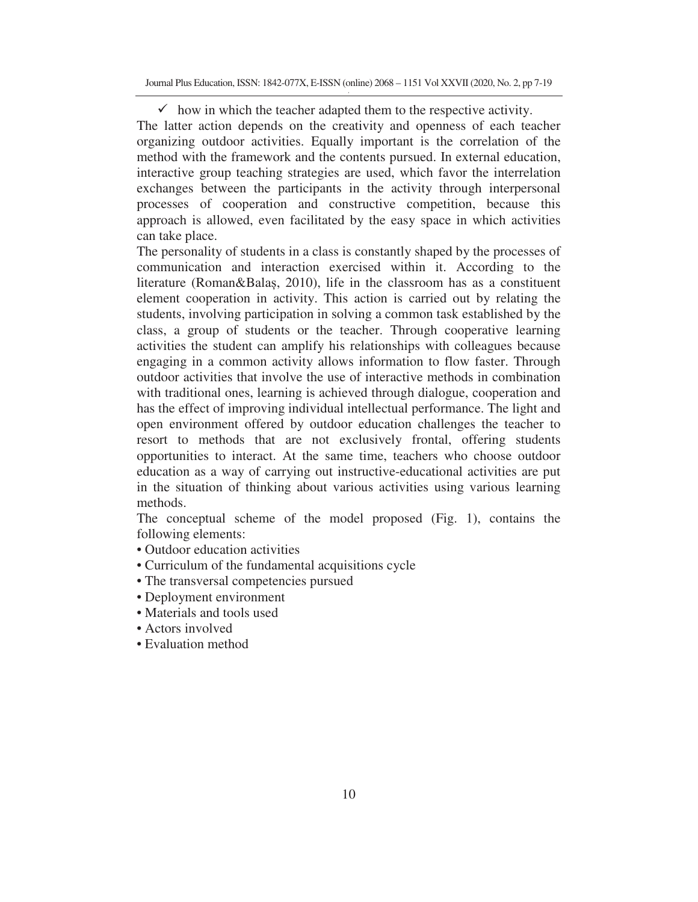$\checkmark$  how in which the teacher adapted them to the respective activity. The latter action depends on the creativity and openness of each teacher organizing outdoor activities. Equally important is the correlation of the method with the framework and the contents pursued. In external education, interactive group teaching strategies are used, which favor the interrelation exchanges between the participants in the activity through interpersonal processes of cooperation and constructive competition, because this approach is allowed, even facilitated by the easy space in which activities can take place.

The personality of students in a class is constantly shaped by the processes of communication and interaction exercised within it. According to the literature (Roman&Bala, 2010), life in the classroom has as a constituent element cooperation in activity. This action is carried out by relating the students, involving participation in solving a common task established by the class, a group of students or the teacher. Through cooperative learning activities the student can amplify his relationships with colleagues because engaging in a common activity allows information to flow faster. Through outdoor activities that involve the use of interactive methods in combination with traditional ones, learning is achieved through dialogue, cooperation and has the effect of improving individual intellectual performance. The light and open environment offered by outdoor education challenges the teacher to resort to methods that are not exclusively frontal, offering students opportunities to interact. At the same time, teachers who choose outdoor education as a way of carrying out instructive-educational activities are put in the situation of thinking about various activities using various learning methods.

The conceptual scheme of the model proposed (Fig. 1), contains the following elements:

- Outdoor education activities
- Curriculum of the fundamental acquisitions cycle
- The transversal competencies pursued
- Deployment environment
- Materials and tools used
- Actors involved
- Evaluation method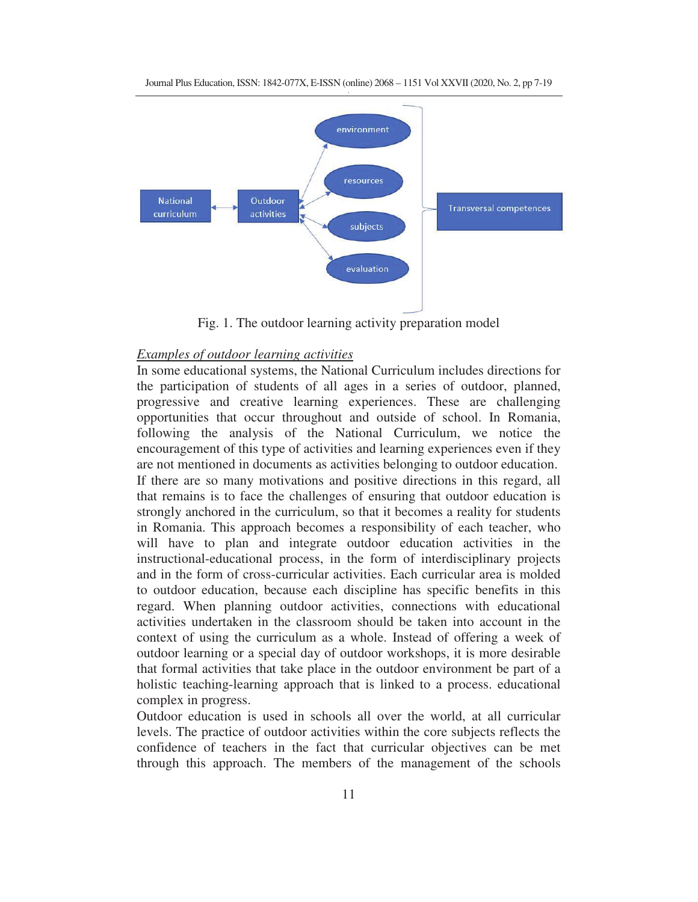

Fig. 1. The outdoor learning activity preparation model

# *Examples of outdoor learning activities*

In some educational systems, the National Curriculum includes directions for the participation of students of all ages in a series of outdoor, planned, progressive and creative learning experiences. These are challenging opportunities that occur throughout and outside of school. In Romania, following the analysis of the National Curriculum, we notice the encouragement of this type of activities and learning experiences even if they are not mentioned in documents as activities belonging to outdoor education. If there are so many motivations and positive directions in this regard, all that remains is to face the challenges of ensuring that outdoor education is strongly anchored in the curriculum, so that it becomes a reality for students in Romania. This approach becomes a responsibility of each teacher, who will have to plan and integrate outdoor education activities in the instructional-educational process, in the form of interdisciplinary projects and in the form of cross-curricular activities. Each curricular area is molded to outdoor education, because each discipline has specific benefits in this regard. When planning outdoor activities, connections with educational activities undertaken in the classroom should be taken into account in the context of using the curriculum as a whole. Instead of offering a week of outdoor learning or a special day of outdoor workshops, it is more desirable that formal activities that take place in the outdoor environment be part of a holistic teaching-learning approach that is linked to a process. educational complex in progress.

Outdoor education is used in schools all over the world, at all curricular levels. The practice of outdoor activities within the core subjects reflects the confidence of teachers in the fact that curricular objectives can be met through this approach. The members of the management of the schools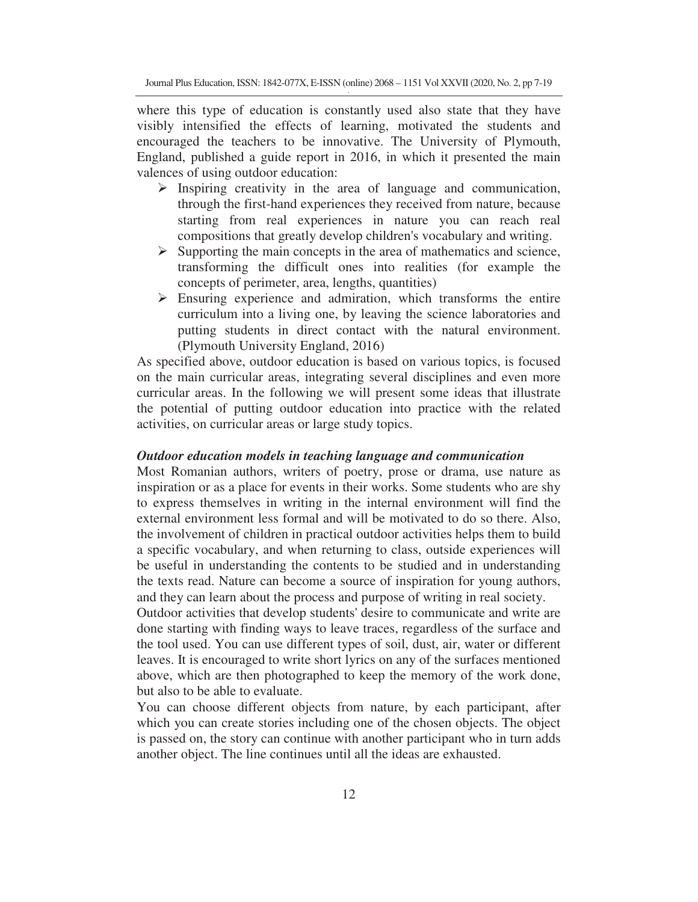where this type of education is constantly used also state that they have visibly intensified the effects of learning, motivated the students and encouraged the teachers to be innovative. The University of Plymouth, England, published a guide report in 2016, in which it presented the main valences of using outdoor education:

- > Inspiring creativity in the area of language and communication, through the first-hand experiences they received from nature, because starting from real experiences in nature you can reach real compositions that greatly develop children's vocabulary and writing.
- > Supporting the main concepts in the area of mathematics and science, transforming the difficult ones into realities (for example the concepts of perimeter, area, lengths, quantities)
- Ensuring experience and admiration, which transforms the entire curriculum into a living one, by leaving the science laboratories and putting students in direct contact with the natural environment. (Plymouth University England, 2016)

As specified above, outdoor education is based on various topics, is focused on the main curricular areas, integrating several disciplines and even more curricular areas. In the following we will present some ideas that illustrate the potential of putting outdoor education into practice with the related activities, on curricular areas or large study topics.

#### *Outdoor education models in teaching language and communication*

Most Romanian authors, writers of poetry, prose or drama, use nature as inspiration or as a place for events in their works. Some students who are shy to express themselves in writing in the internal environment will find the external environment less formal and will be motivated to do so there. Also, the involvement of children in practical outdoor activities helps them to build a specific vocabulary, and when returning to class, outside experiences will be useful in understanding the contents to be studied and in understanding the texts read. Nature can become a source of inspiration for young authors, and they can learn about the process and purpose of writing in real society.

Outdoor activities that develop students' desire to communicate and write are done starting with finding ways to leave traces, regardless of the surface and the tool used. You can use different types of soil, dust, air, water or different leaves. It is encouraged to write short lyrics on any of the surfaces mentioned above, which are then photographed to keep the memory of the work done, but also to be able to evaluate.

You can choose different objects from nature, by each participant, after which you can create stories including one of the chosen objects. The object is passed on, the story can continue with another participant who in turn adds another object. The line continues until all the ideas are exhausted.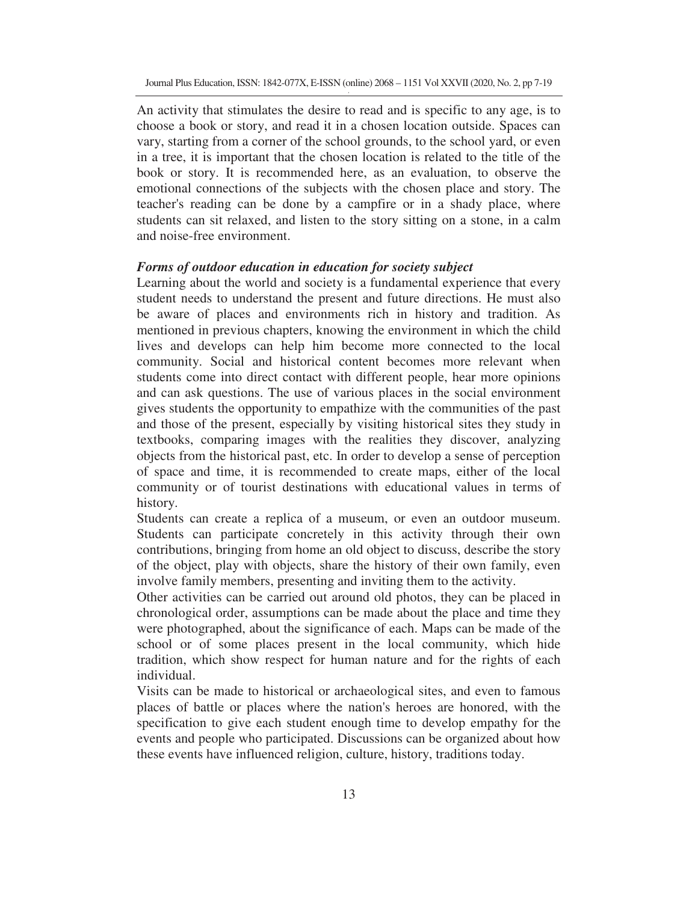An activity that stimulates the desire to read and is specific to any age, is to choose a book or story, and read it in a chosen location outside. Spaces can vary, starting from a corner of the school grounds, to the school yard, or even in a tree, it is important that the chosen location is related to the title of the book or story. It is recommended here, as an evaluation, to observe the emotional connections of the subjects with the chosen place and story. The teacher's reading can be done by a campfire or in a shady place, where students can sit relaxed, and listen to the story sitting on a stone, in a calm and noise-free environment.

#### *Forms of outdoor education in education for society subject*

Learning about the world and society is a fundamental experience that every student needs to understand the present and future directions. He must also be aware of places and environments rich in history and tradition. As mentioned in previous chapters, knowing the environment in which the child lives and develops can help him become more connected to the local community. Social and historical content becomes more relevant when students come into direct contact with different people, hear more opinions and can ask questions. The use of various places in the social environment gives students the opportunity to empathize with the communities of the past and those of the present, especially by visiting historical sites they study in textbooks, comparing images with the realities they discover, analyzing objects from the historical past, etc. In order to develop a sense of perception of space and time, it is recommended to create maps, either of the local community or of tourist destinations with educational values in terms of history.

Students can create a replica of a museum, or even an outdoor museum. Students can participate concretely in this activity through their own contributions, bringing from home an old object to discuss, describe the story of the object, play with objects, share the history of their own family, even involve family members, presenting and inviting them to the activity.

Other activities can be carried out around old photos, they can be placed in chronological order, assumptions can be made about the place and time they were photographed, about the significance of each. Maps can be made of the school or of some places present in the local community, which hide tradition, which show respect for human nature and for the rights of each individual.

Visits can be made to historical or archaeological sites, and even to famous places of battle or places where the nation's heroes are honored, with the specification to give each student enough time to develop empathy for the events and people who participated. Discussions can be organized about how these events have influenced religion, culture, history, traditions today.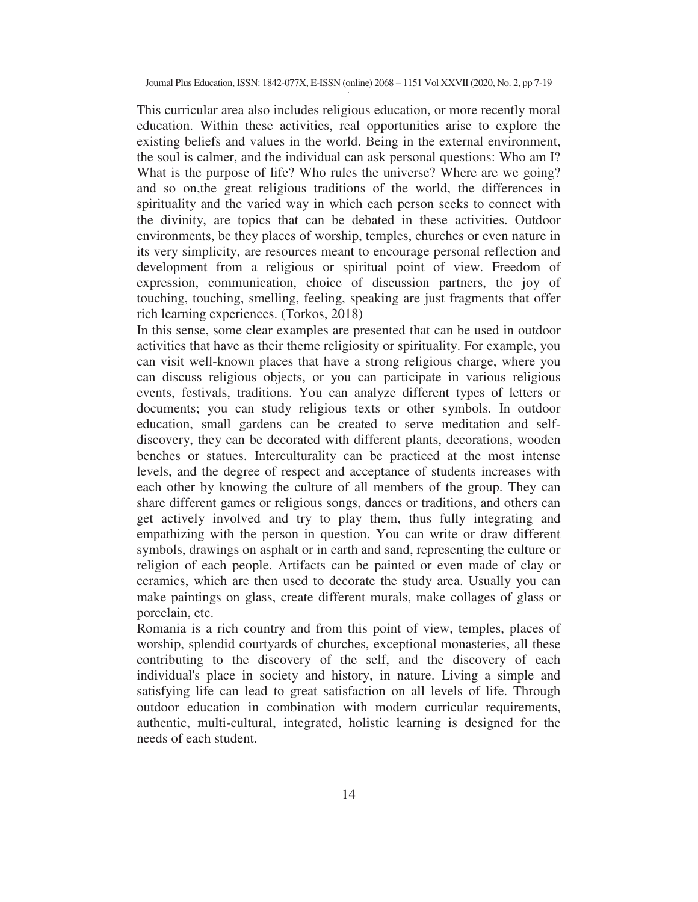Journal Plus Education, ISSN: 1842-077X, E-ISSN (online) 2068 – 1151 Vol XXVII (2020, No. 2, pp 7-19

This curricular area also includes religious education, or more recently moral education. Within these activities, real opportunities arise to explore the existing beliefs and values in the world. Being in the external environment, the soul is calmer, and the individual can ask personal questions: Who am I? What is the purpose of life? Who rules the universe? Where are we going? and so on,the great religious traditions of the world, the differences in spirituality and the varied way in which each person seeks to connect with the divinity, are topics that can be debated in these activities. Outdoor environments, be they places of worship, temples, churches or even nature in its very simplicity, are resources meant to encourage personal reflection and development from a religious or spiritual point of view. Freedom of expression, communication, choice of discussion partners, the joy of touching, touching, smelling, feeling, speaking are just fragments that offer rich learning experiences. (Torkos, 2018)

In this sense, some clear examples are presented that can be used in outdoor activities that have as their theme religiosity or spirituality. For example, you can visit well-known places that have a strong religious charge, where you can discuss religious objects, or you can participate in various religious events, festivals, traditions. You can analyze different types of letters or documents; you can study religious texts or other symbols. In outdoor education, small gardens can be created to serve meditation and selfdiscovery, they can be decorated with different plants, decorations, wooden benches or statues. Interculturality can be practiced at the most intense levels, and the degree of respect and acceptance of students increases with each other by knowing the culture of all members of the group. They can share different games or religious songs, dances or traditions, and others can get actively involved and try to play them, thus fully integrating and empathizing with the person in question. You can write or draw different symbols, drawings on asphalt or in earth and sand, representing the culture or religion of each people. Artifacts can be painted or even made of clay or ceramics, which are then used to decorate the study area. Usually you can make paintings on glass, create different murals, make collages of glass or porcelain, etc.

Romania is a rich country and from this point of view, temples, places of worship, splendid courtyards of churches, exceptional monasteries, all these contributing to the discovery of the self, and the discovery of each individual's place in society and history, in nature. Living a simple and satisfying life can lead to great satisfaction on all levels of life. Through outdoor education in combination with modern curricular requirements, authentic, multi-cultural, integrated, holistic learning is designed for the needs of each student.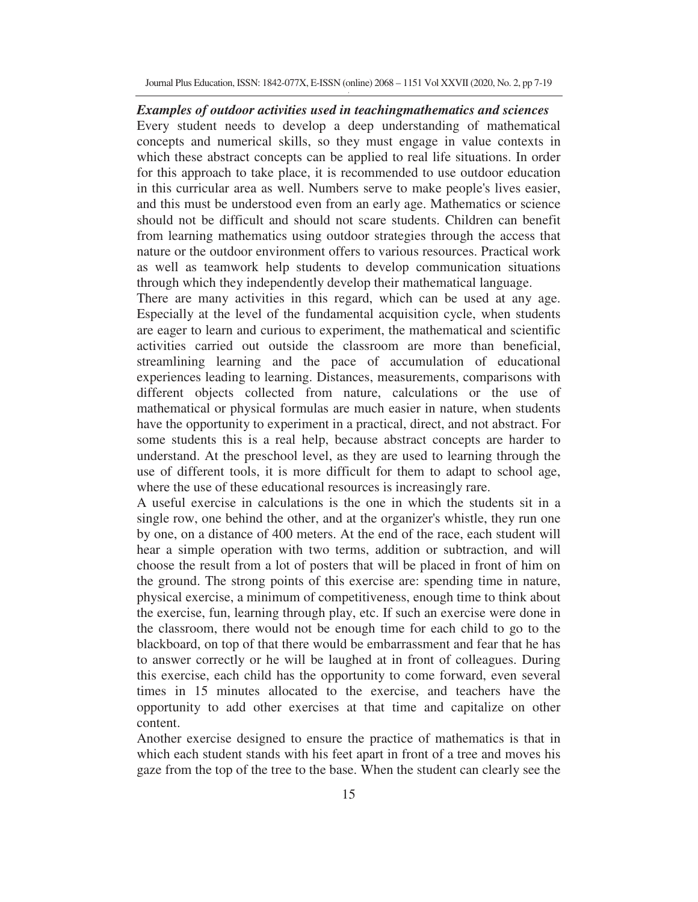Journal Plus Education, ISSN: 1842-077X, E-ISSN (online) 2068 – 1151 Vol XXVII (2020, No. 2, pp 7-19

*Examples of outdoor activities used in teachingmathematics and sciences*  Every student needs to develop a deep understanding of mathematical concepts and numerical skills, so they must engage in value contexts in which these abstract concepts can be applied to real life situations. In order for this approach to take place, it is recommended to use outdoor education in this curricular area as well. Numbers serve to make people's lives easier, and this must be understood even from an early age. Mathematics or science should not be difficult and should not scare students. Children can benefit from learning mathematics using outdoor strategies through the access that nature or the outdoor environment offers to various resources. Practical work as well as teamwork help students to develop communication situations through which they independently develop their mathematical language.

There are many activities in this regard, which can be used at any age. Especially at the level of the fundamental acquisition cycle, when students are eager to learn and curious to experiment, the mathematical and scientific activities carried out outside the classroom are more than beneficial, streamlining learning and the pace of accumulation of educational experiences leading to learning. Distances, measurements, comparisons with different objects collected from nature, calculations or the use of mathematical or physical formulas are much easier in nature, when students have the opportunity to experiment in a practical, direct, and not abstract. For some students this is a real help, because abstract concepts are harder to understand. At the preschool level, as they are used to learning through the use of different tools, it is more difficult for them to adapt to school age, where the use of these educational resources is increasingly rare.

A useful exercise in calculations is the one in which the students sit in a single row, one behind the other, and at the organizer's whistle, they run one by one, on a distance of 400 meters. At the end of the race, each student will hear a simple operation with two terms, addition or subtraction, and will choose the result from a lot of posters that will be placed in front of him on the ground. The strong points of this exercise are: spending time in nature, physical exercise, a minimum of competitiveness, enough time to think about the exercise, fun, learning through play, etc. If such an exercise were done in the classroom, there would not be enough time for each child to go to the blackboard, on top of that there would be embarrassment and fear that he has to answer correctly or he will be laughed at in front of colleagues. During this exercise, each child has the opportunity to come forward, even several times in 15 minutes allocated to the exercise, and teachers have the opportunity to add other exercises at that time and capitalize on other content.

Another exercise designed to ensure the practice of mathematics is that in which each student stands with his feet apart in front of a tree and moves his gaze from the top of the tree to the base. When the student can clearly see the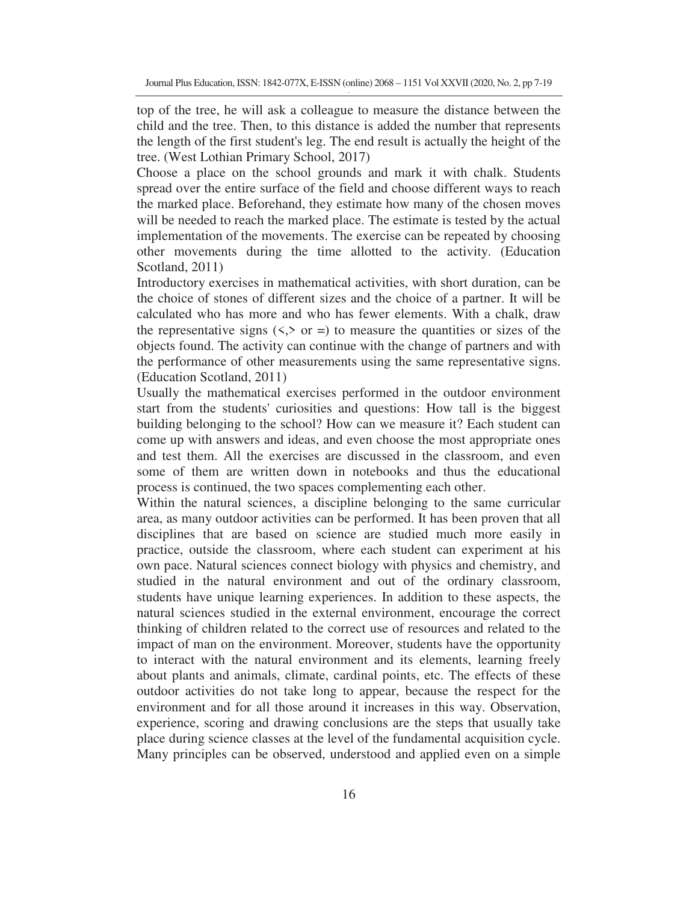top of the tree, he will ask a colleague to measure the distance between the child and the tree. Then, to this distance is added the number that represents the length of the first student's leg. The end result is actually the height of the tree. (West Lothian Primary School, 2017)

Choose a place on the school grounds and mark it with chalk. Students spread over the entire surface of the field and choose different ways to reach the marked place. Beforehand, they estimate how many of the chosen moves will be needed to reach the marked place. The estimate is tested by the actual implementation of the movements. The exercise can be repeated by choosing other movements during the time allotted to the activity. (Education Scotland, 2011)

Introductory exercises in mathematical activities, with short duration, can be the choice of stones of different sizes and the choice of a partner. It will be calculated who has more and who has fewer elements. With a chalk, draw the representative signs  $(\leq, > \circ r)$  to measure the quantities or sizes of the objects found. The activity can continue with the change of partners and with the performance of other measurements using the same representative signs. (Education Scotland, 2011)

Usually the mathematical exercises performed in the outdoor environment start from the students' curiosities and questions: How tall is the biggest building belonging to the school? How can we measure it? Each student can come up with answers and ideas, and even choose the most appropriate ones and test them. All the exercises are discussed in the classroom, and even some of them are written down in notebooks and thus the educational process is continued, the two spaces complementing each other.

Within the natural sciences, a discipline belonging to the same curricular area, as many outdoor activities can be performed. It has been proven that all disciplines that are based on science are studied much more easily in practice, outside the classroom, where each student can experiment at his own pace. Natural sciences connect biology with physics and chemistry, and studied in the natural environment and out of the ordinary classroom, students have unique learning experiences. In addition to these aspects, the natural sciences studied in the external environment, encourage the correct thinking of children related to the correct use of resources and related to the impact of man on the environment. Moreover, students have the opportunity to interact with the natural environment and its elements, learning freely about plants and animals, climate, cardinal points, etc. The effects of these outdoor activities do not take long to appear, because the respect for the environment and for all those around it increases in this way. Observation, experience, scoring and drawing conclusions are the steps that usually take place during science classes at the level of the fundamental acquisition cycle. Many principles can be observed, understood and applied even on a simple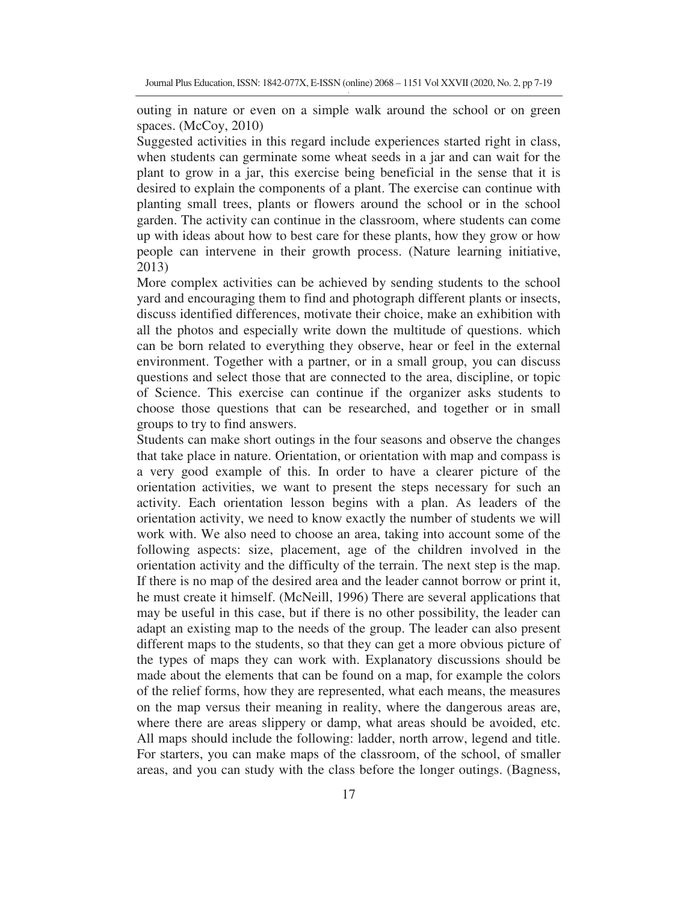outing in nature or even on a simple walk around the school or on green spaces. (McCoy, 2010)

Suggested activities in this regard include experiences started right in class, when students can germinate some wheat seeds in a jar and can wait for the plant to grow in a jar, this exercise being beneficial in the sense that it is desired to explain the components of a plant. The exercise can continue with planting small trees, plants or flowers around the school or in the school garden. The activity can continue in the classroom, where students can come up with ideas about how to best care for these plants, how they grow or how people can intervene in their growth process. (Nature learning initiative, 2013)

More complex activities can be achieved by sending students to the school yard and encouraging them to find and photograph different plants or insects, discuss identified differences, motivate their choice, make an exhibition with all the photos and especially write down the multitude of questions. which can be born related to everything they observe, hear or feel in the external environment. Together with a partner, or in a small group, you can discuss questions and select those that are connected to the area, discipline, or topic of Science. This exercise can continue if the organizer asks students to choose those questions that can be researched, and together or in small groups to try to find answers.

Students can make short outings in the four seasons and observe the changes that take place in nature. Orientation, or orientation with map and compass is a very good example of this. In order to have a clearer picture of the orientation activities, we want to present the steps necessary for such an activity. Each orientation lesson begins with a plan. As leaders of the orientation activity, we need to know exactly the number of students we will work with. We also need to choose an area, taking into account some of the following aspects: size, placement, age of the children involved in the orientation activity and the difficulty of the terrain. The next step is the map. If there is no map of the desired area and the leader cannot borrow or print it, he must create it himself. (McNeill, 1996) There are several applications that may be useful in this case, but if there is no other possibility, the leader can adapt an existing map to the needs of the group. The leader can also present different maps to the students, so that they can get a more obvious picture of the types of maps they can work with. Explanatory discussions should be made about the elements that can be found on a map, for example the colors of the relief forms, how they are represented, what each means, the measures on the map versus their meaning in reality, where the dangerous areas are, where there are areas slippery or damp, what areas should be avoided, etc. All maps should include the following: ladder, north arrow, legend and title. For starters, you can make maps of the classroom, of the school, of smaller areas, and you can study with the class before the longer outings. (Bagness,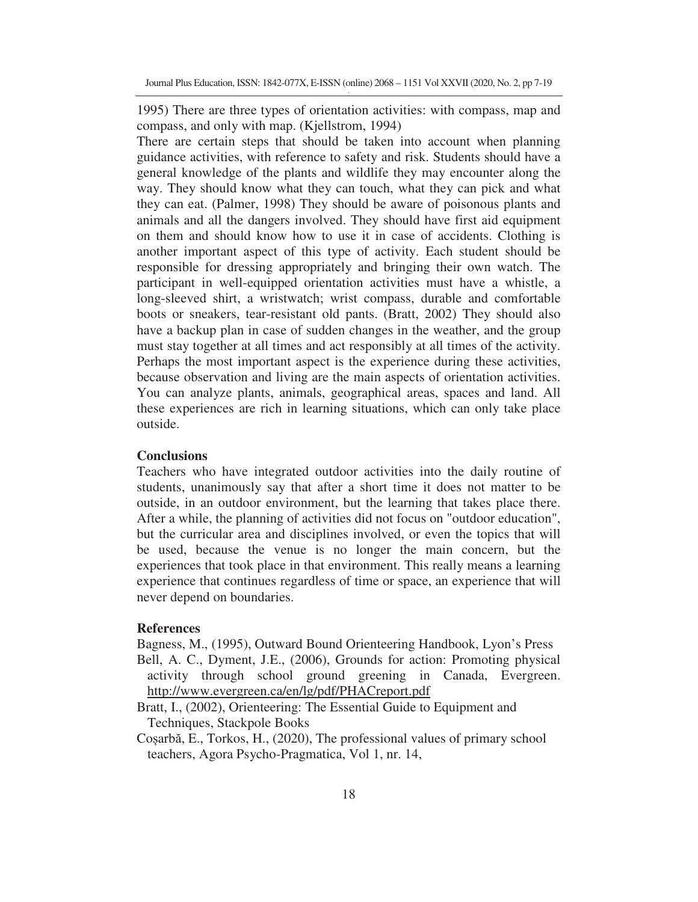1995) There are three types of orientation activities: with compass, map and compass, and only with map. (Kjellstrom, 1994)

There are certain steps that should be taken into account when planning guidance activities, with reference to safety and risk. Students should have a general knowledge of the plants and wildlife they may encounter along the way. They should know what they can touch, what they can pick and what they can eat. (Palmer, 1998) They should be aware of poisonous plants and animals and all the dangers involved. They should have first aid equipment on them and should know how to use it in case of accidents. Clothing is another important aspect of this type of activity. Each student should be responsible for dressing appropriately and bringing their own watch. The participant in well-equipped orientation activities must have a whistle, a long-sleeved shirt, a wristwatch; wrist compass, durable and comfortable boots or sneakers, tear-resistant old pants. (Bratt, 2002) They should also have a backup plan in case of sudden changes in the weather, and the group must stay together at all times and act responsibly at all times of the activity. Perhaps the most important aspect is the experience during these activities, because observation and living are the main aspects of orientation activities. You can analyze plants, animals, geographical areas, spaces and land. All these experiences are rich in learning situations, which can only take place outside.

# **Conclusions**

Teachers who have integrated outdoor activities into the daily routine of students, unanimously say that after a short time it does not matter to be outside, in an outdoor environment, but the learning that takes place there. After a while, the planning of activities did not focus on "outdoor education", but the curricular area and disciplines involved, or even the topics that will be used, because the venue is no longer the main concern, but the experiences that took place in that environment. This really means a learning experience that continues regardless of time or space, an experience that will never depend on boundaries.

## **References**

Bagness, M., (1995), Outward Bound Orienteering Handbook, Lyon's Press

- Bell, A. C., Dyment, J.E., (2006), Grounds for action: Promoting physical activity through school ground greening in Canada, Evergreen. http://www.evergreen.ca/en/lg/pdf/PHACreport.pdf
- Bratt, I., (2002), Orienteering: The Essential Guide to Equipment and Techniques, Stackpole Books

Cosarbă, E., Torkos, H., (2020), The professional values of primary school teachers, Agora Psycho-Pragmatica, Vol 1, nr. 14,